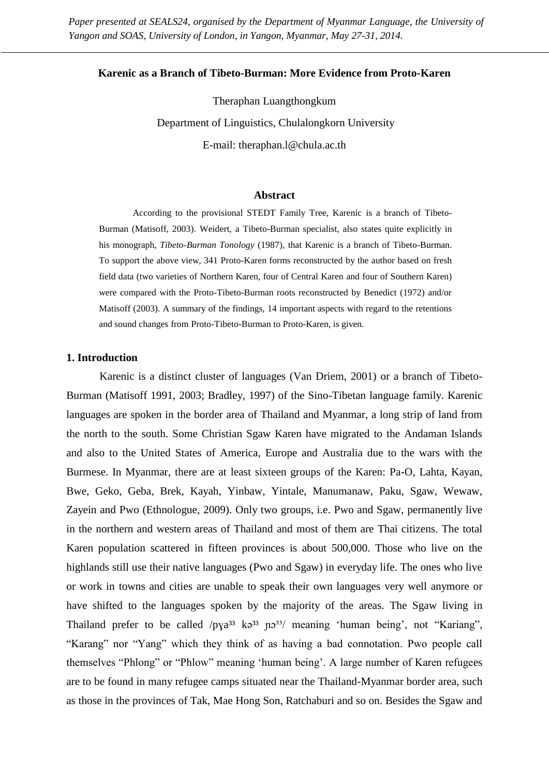*Paper presented at SEALS24, organised by the Department of Myanmar Language, the University of Yangon and SOAS, University of London, in Yangon, Myanmar, May 27-31, 2014.*

#### **Karenic as a Branch of Tibeto-Burman: More Evidence from Proto-Karen**

Theraphan Luangthongkum Department of Linguistics, Chulalongkorn University E-mail: theraphan.l@chula.ac.th

#### **Abstract**

According to the provisional STEDT Family Tree, Karenic is a branch of Tibeto-Burman (Matisoff, 2003). Weidert, a Tibeto-Burman specialist, also states quite explicitly in his monograph, *Tibeto-Burman Tonology* (1987), that Karenic is a branch of Tibeto-Burman. To support the above view, 341 Proto-Karen forms reconstructed by the author based on fresh field data (two varieties of Northern Karen, four of Central Karen and four of Southern Karen) were compared with the Proto-Tibeto-Burman roots reconstructed by Benedict (1972) and/or Matisoff (2003). A summary of the findings, 14 important aspects with regard to the retentions and sound changes from Proto-Tibeto-Burman to Proto-Karen, is given.

## **1. Introduction**

Karenic is a distinct cluster of languages (Van Driem, 2001) or a branch of Tibeto-Burman (Matisoff 1991, 2003; Bradley, 1997) of the Sino-Tibetan language family. Karenic languages are spoken in the border area of Thailand and Myanmar, a long strip of land from the north to the south. Some Christian Sgaw Karen have migrated to the Andaman Islands and also to the United States of America, Europe and Australia due to the wars with the Burmese. In Myanmar, there are at least sixteen groups of the Karen: Pa-O, Lahta, Kayan, Bwe, Geko, Geba, Brek, Kayah, Yinbaw, Yintale, Manumanaw, Paku, Sgaw, Wewaw, Zayein and Pwo (Ethnologue, 2009). Only two groups, i.e. Pwo and Sgaw, permanently live in the northern and western areas of Thailand and most of them are Thai citizens. The total Karen population scattered in fifteen provinces is about 500,000. Those who live on the highlands still use their native languages (Pwo and Sgaw) in everyday life. The ones who live or work in towns and cities are unable to speak their own languages very well anymore or have shifted to the languages spoken by the majority of the areas. The Sgaw living in Thailand prefer to be called  $/pya^{33}$  k $a^{33}$  n $a^{33}$ / meaning 'human being', not "Kariang", "Karang" nor "Yang" which they think of as having a bad connotation. Pwo people call themselves "Phlong" or "Phlow" meaning 'human being'. A large number of Karen refugees are to be found in many refugee camps situated near the Thailand-Myanmar border area, such as those in the provinces of Tak, Mae Hong Son, Ratchaburi and so on. Besides the Sgaw and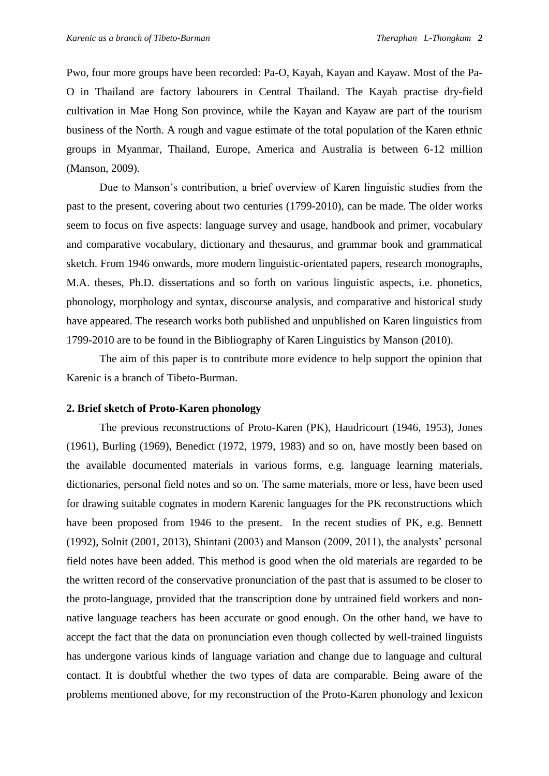Pwo, four more groups have been recorded: Pa-O, Kayah, Kayan and Kayaw. Most of the Pa-O in Thailand are factory labourers in Central Thailand. The Kayah practise dry-field cultivation in Mae Hong Son province, while the Kayan and Kayaw are part of the tourism business of the North. A rough and vague estimate of the total population of the Karen ethnic groups in Myanmar, Thailand, Europe, America and Australia is between 6-12 million (Manson, 2009).

Due to Manson's contribution, a brief overview of Karen linguistic studies from the past to the present, covering about two centuries (1799-2010), can be made. The older works seem to focus on five aspects: language survey and usage, handbook and primer, vocabulary and comparative vocabulary, dictionary and thesaurus, and grammar book and grammatical sketch. From 1946 onwards, more modern linguistic-orientated papers, research monographs, M.A. theses, Ph.D. dissertations and so forth on various linguistic aspects, i.e. phonetics, phonology, morphology and syntax, discourse analysis, and comparative and historical study have appeared. The research works both published and unpublished on Karen linguistics from 1799-2010 are to be found in the Bibliography of Karen Linguistics by Manson (2010).

The aim of this paper is to contribute more evidence to help support the opinion that Karenic is a branch of Tibeto-Burman.

## **2. Brief sketch of Proto-Karen phonology**

The previous reconstructions of Proto-Karen (PK), Haudricourt (1946, 1953), Jones (1961), Burling (1969), Benedict (1972, 1979, 1983) and so on, have mostly been based on the available documented materials in various forms, e.g. language learning materials, dictionaries, personal field notes and so on. The same materials, more or less, have been used for drawing suitable cognates in modern Karenic languages for the PK reconstructions which have been proposed from 1946 to the present. In the recent studies of PK, e.g. Bennett (1992), Solnit (2001, 2013), Shintani (2003) and Manson (2009, 2011), the analysts' personal field notes have been added. This method is good when the old materials are regarded to be the written record of the conservative pronunciation of the past that is assumed to be closer to the proto-language, provided that the transcription done by untrained field workers and nonnative language teachers has been accurate or good enough. On the other hand, we have to accept the fact that the data on pronunciation even though collected by well-trained linguists has undergone various kinds of language variation and change due to language and cultural contact. It is doubtful whether the two types of data are comparable. Being aware of the problems mentioned above, for my reconstruction of the Proto-Karen phonology and lexicon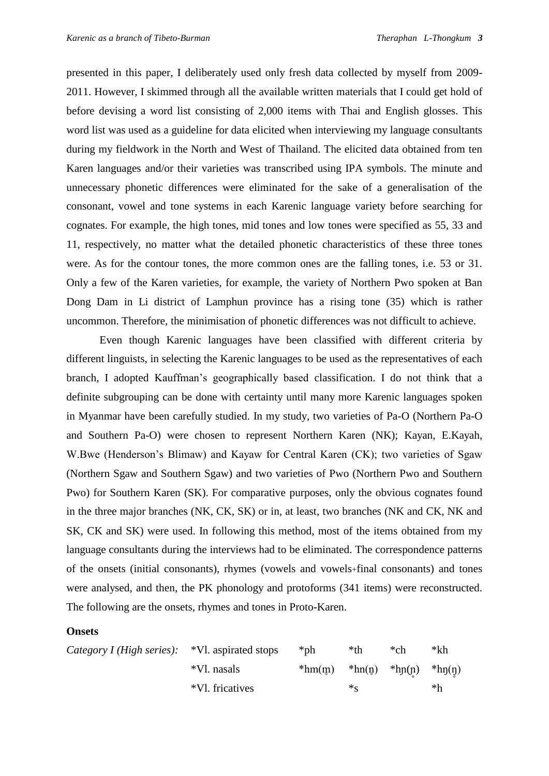presented in this paper, I deliberately used only fresh data collected by myself from 2009- 2011. However, I skimmed through all the available written materials that I could get hold of before devising a word list consisting of 2,000 items with Thai and English glosses. This word list was used as a guideline for data elicited when interviewing my language consultants during my fieldwork in the North and West of Thailand. The elicited data obtained from ten Karen languages and/or their varieties was transcribed using IPA symbols. The minute and unnecessary phonetic differences were eliminated for the sake of a generalisation of the consonant, vowel and tone systems in each Karenic language variety before searching for cognates. For example, the high tones, mid tones and low tones were specified as 55, 33 and 11, respectively, no matter what the detailed phonetic characteristics of these three tones were. As for the contour tones, the more common ones are the falling tones, i.e. 53 or 31. Only a few of the Karen varieties, for example, the variety of Northern Pwo spoken at Ban Dong Dam in Li district of Lamphun province has a rising tone (35) which is rather uncommon. Therefore, the minimisation of phonetic differences was not difficult to achieve.

Even though Karenic languages have been classified with different criteria by different linguists, in selecting the Karenic languages to be used as the representatives of each branch, I adopted Kauffman's geographically based classification. I do not think that a definite subgrouping can be done with certainty until many more Karenic languages spoken in Myanmar have been carefully studied. In my study, two varieties of Pa-O (Northern Pa-O and Southern Pa-O) were chosen to represent Northern Karen (NK); Kayan, E.Kayah, W.Bwe (Henderson's Blimaw) and Kayaw for Central Karen (CK); two varieties of Sgaw (Northern Sgaw and Southern Sgaw) and two varieties of Pwo (Northern Pwo and Southern Pwo) for Southern Karen (SK). For comparative purposes, only the obvious cognates found in the three major branches (NK, CK, SK) or in, at least, two branches (NK and CK, NK and SK, CK and SK) were used. In following this method, most of the items obtained from my language consultants during the interviews had to be eliminated. The correspondence patterns of the onsets (initial consonants), rhymes (vowels and vowels+final consonants) and tones were analysed, and then, the PK phonology and protoforms (341 items) were reconstructed. The following are the onsets, rhymes and tones in Proto-Karen.

#### **Onsets**

| <i>Category I (High series)</i> : *Vl. aspirated stops |                 | *ph      | *th      | *ch                   | $*$ kh    |
|--------------------------------------------------------|-----------------|----------|----------|-----------------------|-----------|
|                                                        | *Vl. nasals     | $*hm(m)$ | $*hn(p)$ | $\therefore$ *hp(p) * | $*$ hŋ(ŋ) |
|                                                        | *Vl. fricatives |          | $*_c$    |                       | *h        |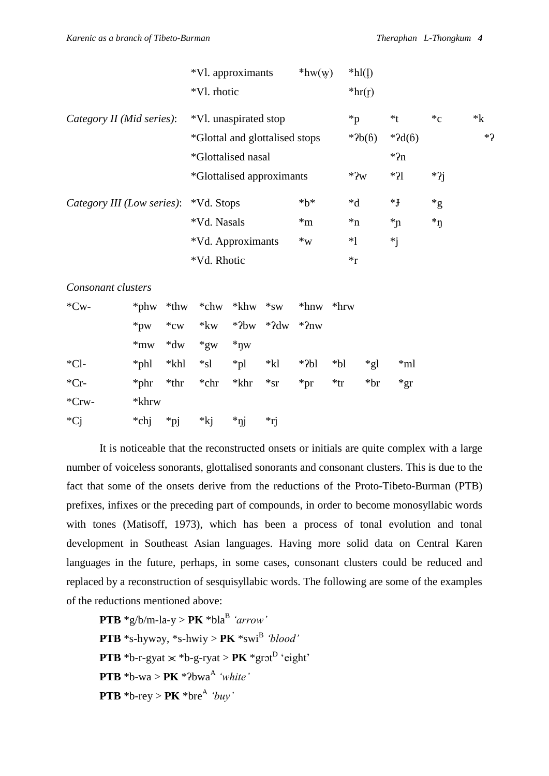|                            |                 |          | *Vl. approximants              |                           |             | $*$ hw $(y)$     |         | $*hl(l)$ |                |                  |         |
|----------------------------|-----------------|----------|--------------------------------|---------------------------|-------------|------------------|---------|----------|----------------|------------------|---------|
|                            |                 |          | *Vl. rhotic                    |                           |             |                  |         | $*hr(f)$ |                |                  |         |
| Category II (Mid series):  |                 |          | *Vl. unaspirated stop          |                           |             |                  |         | $*_{p}$  | $*_{t}$        | $C^*$            | $*_{k}$ |
|                            |                 |          | *Glottal and glottalised stops |                           |             |                  |         | $*2b(6)$ | $*2d(6)$       |                  | $*2$    |
|                            |                 |          | *Glottalised nasal             |                           |             |                  |         |          | $*2n$          |                  |         |
|                            |                 |          | *Glottalised approximants      |                           |             |                  |         | $*2w$    | $*21$          | $*2j$            |         |
| Category III (Low series): |                 |          | *Vd. Stops                     |                           |             | $*b*$            |         | $*d$     | $*$ J          | $*_{g}$          |         |
|                            |                 |          | *Vd. Nasals                    |                           |             | $*m$             |         | $\ast$ n | $\overline{r}$ | $\boldsymbol{A}$ |         |
|                            |                 |          | *Vd. Approximants              |                           |             | $*_{\mathrm{W}}$ |         | $*1$     | $*_{j}$        |                  |         |
|                            |                 |          | *Vd. Rhotic                    |                           |             |                  |         | $*_r$    |                |                  |         |
| Consonant clusters         |                 |          |                                |                           |             |                  |         |          |                |                  |         |
| $*Cw-$                     | *phw            | $*$ thw  | *chw                           | $*$ khw                   | $*_{SW}$    | $*$ hnw          | $*$ hrw |          |                |                  |         |
|                            | $*_{\text{pw}}$ | $*_{cw}$ | $*kw$                          | $*2bw$                    | $*2dw$      | $*2nw$           |         |          |                |                  |         |
|                            | $*m$            | $*dw$    | $*_{\text{gw}}$                | $*_{\eta w}$              |             |                  |         |          |                |                  |         |
| $*Cl$ -                    | *phl            | *khl     | $*_{sl}$                       | $*_{\text{pl}}$           | $*{\bf kl}$ | $*$ ?bl          | $*bl$   | $*_{gl}$ | $*ml$          |                  |         |
| ${}^*Cr$                   | *phr            | $*thr$   | *chr                           | *khr                      | $*_{ST}$    | $*pr$            | $*$ tr  | $*br$    | $*gr$          |                  |         |
| $*Crw-$                    | *khrw           |          |                                |                           |             |                  |         |          |                |                  |         |
| *Cj                        | *chj            | $*$ pj   | $*_{kj}$                       | $*_{\rm\scriptstyle Ijj}$ | *rj         |                  |         |          |                |                  |         |
|                            |                 |          |                                |                           |             |                  |         |          |                |                  |         |

It is noticeable that the reconstructed onsets or initials are quite complex with a large number of voiceless sonorants, glottalised sonorants and consonant clusters. This is due to the fact that some of the onsets derive from the reductions of the Proto-Tibeto-Burman (PTB) prefixes, infixes or the preceding part of compounds, in order to become monosyllabic words with tones (Matisoff, 1973), which has been a process of tonal evolution and tonal development in Southeast Asian languages. Having more solid data on Central Karen languages in the future, perhaps, in some cases, consonant clusters could be reduced and replaced by a reconstruction of sesquisyllabic words. The following are some of the examples of the reductions mentioned above:

 $\mathbf{PTB} * g/b/m-la-y > \mathbf{PK} * bla^B \text{ 'arrow' }$ **PTB** \*s-hywəy, \*s-hwiy >  $PK$  \*swi<sup>B</sup> *'blood'* **PTB** \*b-r-gyat  $\times$  \*b-g-ryat > **PK** \*grot<sup>D</sup> 'eight' **PTB**  $*$ b-wa > **PK**  $*$ *P*bwa<sup>A</sup> *'white'*  $\mathbf{PTB} * \mathbf{b}$ -rey >  $\mathbf{PK} * \mathbf{bre}^{\mathbf{A}} * \mathbf{b}$ *uy*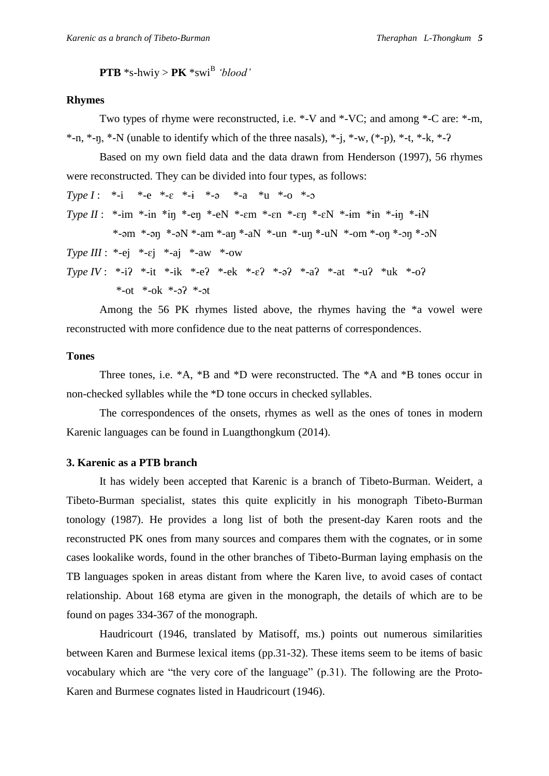**PTB**  $*$ s-hwiy > **PK**  $*$ swi<sup>B</sup> *'blood'* 

#### **Rhymes**

Two types of rhyme were reconstructed, i.e. \*-V and \*-VC; and among \*-C are: \*-m, \*-n, \*-n, \*-N (unable to identify which of the three nasals), \*-i, \*-w,  $(*-p)$ , \*-t, \*-k, \*-?

Based on my own field data and the data drawn from Henderson (1997), 56 rhymes were reconstructed. They can be divided into four types, as follows:

*Type I* : \*-i \*-e \*-ɛ \*-ɨ \*-ə \*-a \*u \*-o \*-ɔ  $Type II: *-im *-im *-im *-en *-eN *-em *-en *-en *-en *-eN *-im *-im *-in *-in$  $*$ -əm  $*$ -ən  $*$ -əN  $*$ -am  $*$ -an  $*$ -aN  $*$ -un  $*$ -un  $*$ -uN  $*$ -om  $*$ -on  $*$ -on  $*$ - $\sim$ N *Type III* : \*-ej \*- $\varepsilon$ j \*-aj \*-aw \*-ow *Type IV* : \*-iʔ \*-it \*-ik \*-eʔ \*-ek \*-ɛʔ \*-əʔ \*-aʔ \*-at \*-uʔ \*uk \*-oʔ \*-ot \*-ok \*- $2^*$  \*- $2^*$ 

Among the 56 PK rhymes listed above, the rhymes having the \*a vowel were reconstructed with more confidence due to the neat patterns of correspondences.

## **Tones**

Three tones, i.e. \*A, \*B and \*D were reconstructed. The \*A and \*B tones occur in non-checked syllables while the \*D tone occurs in checked syllables.

The correspondences of the onsets, rhymes as well as the ones of tones in modern Karenic languages can be found in Luangthongkum (2014).

## **3. Karenic as a PTB branch**

It has widely been accepted that Karenic is a branch of Tibeto-Burman. Weidert, a Tibeto-Burman specialist, states this quite explicitly in his monograph Tibeto-Burman tonology (1987). He provides a long list of both the present-day Karen roots and the reconstructed PK ones from many sources and compares them with the cognates, or in some cases lookalike words, found in the other branches of Tibeto-Burman laying emphasis on the TB languages spoken in areas distant from where the Karen live, to avoid cases of contact relationship. About 168 etyma are given in the monograph, the details of which are to be found on pages 334-367 of the monograph.

Haudricourt (1946, translated by Matisoff, ms.) points out numerous similarities between Karen and Burmese lexical items (pp.31-32). These items seem to be items of basic vocabulary which are "the very core of the language" (p.31). The following are the Proto-Karen and Burmese cognates listed in Haudricourt (1946).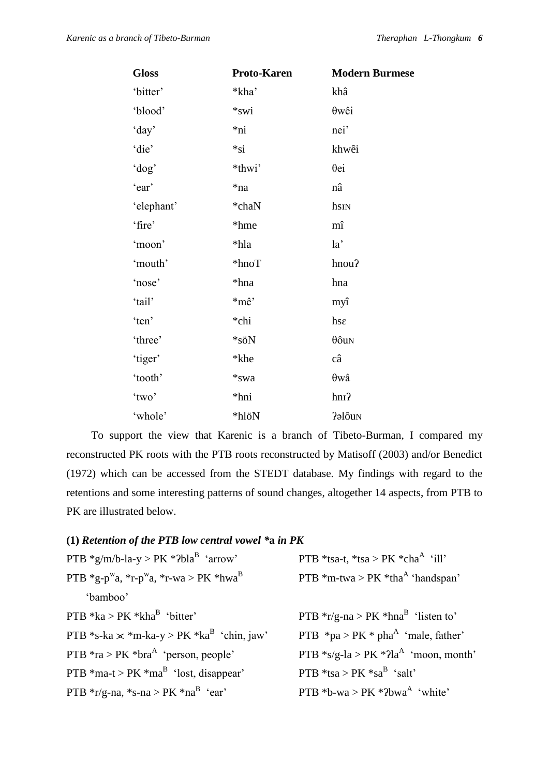| <b>Gloss</b> | Proto-Karen | <b>Modern Burmese</b> |
|--------------|-------------|-----------------------|
| 'bitter'     | *kha'       | khâ                   |
| 'blood'      | *swi        | $\theta w\hat{e}i$    |
| 'day'        | *ni         | nei'                  |
| 'die'        | $*_{si}$    | khwêi                 |
| 'dog'        | *thwi'      | $\theta$ ei           |
| 'ear'        | *na         | nâ                    |
| 'elephant'   | *chaN       | hsin                  |
| 'fire'       | *hme        | mî                    |
| 'moon'       | *hla        | la'                   |
| 'mouth'      | $*$ hnoT    | hnou?                 |
| 'nose'       | *hna        | hna                   |
| 'tail'       | *mê'        | myî                   |
| 'ten'        | *chi        | hse                   |
| 'three'      | *söN        | $\theta$ ôun          |
| 'tiger'      | *khe        | câ                    |
| 'tooth'      | *swa        | $\theta w\hat{a}$     |
| 'two'        | *hni        | $h$ n $\Omega$        |
| 'whole'      | *hlöN       | Palôu <sub>N</sub>    |

To support the view that Karenic is a branch of Tibeto-Burman, I compared my reconstructed PK roots with the PTB roots reconstructed by Matisoff (2003) and/or Benedict (1972) which can be accessed from the STEDT database. My findings with regard to the retentions and some interesting patterns of sound changes, altogether 14 aspects, from PTB to PK are illustrated below.

## **(1)** *Retention of the PTB low central vowel \****a** *in PK*

| PTB $*g/m/b$ -la-y > PK $*2blaB$ 'arrow'                                                       | PTB *tsa-t, *tsa > PK *cha <sup>A</sup> 'ill'             |
|------------------------------------------------------------------------------------------------|-----------------------------------------------------------|
| PTB $*_{g-p}$ <sup>w</sup> a, $*_{r-p}$ <sup>w</sup> a, $*_{r-wa}$ > PK $*_{hwa}$ <sup>B</sup> | PTB $*$ m-twa > PK $*$ tha <sup>A</sup> 'handspan'        |
| 'bamboo'                                                                                       |                                                           |
| PTB $*ka > PK *khaB 'bitter'$                                                                  | PTB $*_{r/g}$ -na > PK $*_{hna}$ <sup>B</sup> 'listen to' |
| PTB *s-ka $\times$ *m-ka-y > PK *ka <sup>B</sup> 'chin, jaw'                                   | PTB $*pa > PK * phaA 'male, father'$                      |
| PTB $*ra > PK *braA$ 'person, people'                                                          | PTB $*_{S/g}$ -la > PK $*$ ?la <sup>A</sup> 'moon, month' |
| PTB $*$ ma-t > PK $*$ ma <sup>B</sup> 'lost, disappear'                                        | PTB *tsa > PK *sa <sup>B</sup> 'salt'                     |
| PTB $*_{r/g-na}$ , $*_{s-na}$ > PK $*_{na}^B$ 'ear'                                            | PTB *b-wa > PK *?bwa <sup>A</sup> 'white'                 |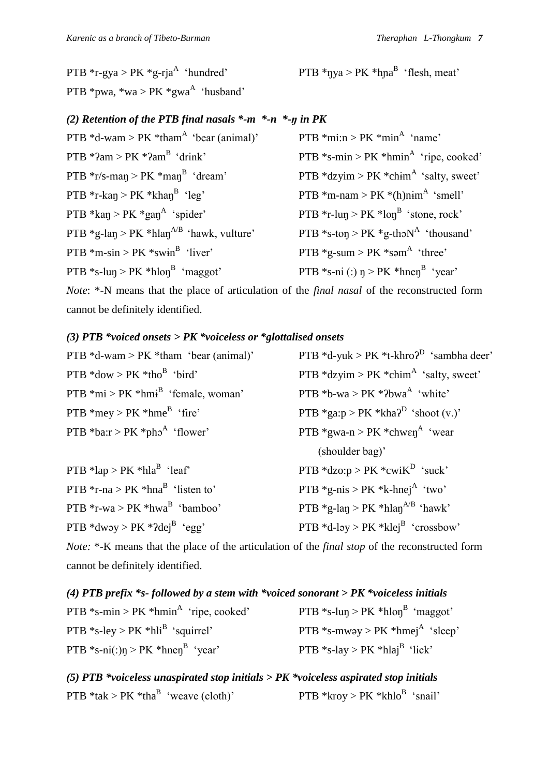PTB  $*$ r-gya > PK  $*$ g-rja<sup>A</sup> 'hundred' PTB  $*pwa$ ,  $*wa > PK *gwa<sup>A</sup> 'husband'$ 

'hundred'  $PTB * \eta ya > PK * \eta na^B$  'flesh, meat'

## *(2) Retention of the PTB final nasals \*-m \*-n \*-ŋ in PK*

| PTB $*mi:n > PK *minA 'name'$                              |
|------------------------------------------------------------|
| PTB $*$ s-min > PK $*$ hmin <sup>A</sup> 'ripe, cooked'    |
| PTB $*$ dzyim > PK $*$ chim <sup>A</sup> 'salty, sweet'    |
| PTB *m-nam > $PK * (h)$ nim <sup>A</sup> 'smell'           |
| PTB $*_{r-\text{lun}} > PK * \text{lon}^{B}$ 'stone, rock' |
| PTB *s-ton > PK *g-tho $N^A$ 'thousand'                    |
| PTB $*$ g-sum > PK $*$ səm <sup>A</sup> 'three'            |
| PTB *s-ni (:) $\eta$ > PK *hnen <sup>B</sup> 'year'        |
|                                                            |

*Note*: \*-N means that the place of articulation of the *final nasal* of the reconstructed form cannot be definitely identified.

## *(3) PTB \*voiced onsets > PK \*voiceless or \*glottalised onsets*

| PTB $*d$ -wam > PK $*$ tham 'bear (animal)'  | PTB $*d$ -yuk > PK $*t$ -khro $2^D$ 'sambha deer'          |
|----------------------------------------------|------------------------------------------------------------|
| PTB $*$ dow > PK $*$ tho <sup>B</sup> 'bird' | PTB $*$ dzyim > PK $*$ chim <sup>A</sup> 'salty, sweet'    |
| PTB $*mi > PK * hmiB$ 'female, woman'        | PTB *b-wa > PK *?bwa $^A$ 'white'                          |
| PTB $*$ mey > PK $*$ hme <sup>B</sup> 'fire' | PTB *ga:p > PK *kha? <sup>D</sup> 'shoot (v.)'             |
| PTB *ba: $r > PK$ *pho <sup>A</sup> 'flower' | PTB $*$ gwa-n > PK $*$ chw $\epsilon$ n <sup>A</sup> 'wear |
|                                              | (shoulder bag)'                                            |
| PTB *lap > $PK$ *hla <sup>B</sup> 'leaf'     | PTB $*$ dzo:p > PK $*$ cwi $K^D$ 'suck'                    |
| PTB $*_{r-na} > PK * hnaB$ 'listen to'       | PTB $*$ g-nis > PK $*$ k-hnej <sup>A</sup> 'two'           |
| PTB $*_{r-wa}$ > PK $*_{hwa}^B$ 'bamboo'     | PTB *g-lan > PK *hlan <sup><math>A/B</math></sup> 'hawk'   |
| PTB *dwəy > PK *?dej <sup>B</sup> 'egg'      | PTB *d-ləy > PK *klej <sup>B</sup> 'crossbow'              |

*Note:* \*-K means that the place of the articulation of the *final stop* of the reconstructed form cannot be definitely identified.

| (4) PTB prefix *s-followed by a stem with *voiced sonorant > $PK$ *voiceless initials |                                             |
|---------------------------------------------------------------------------------------|---------------------------------------------|
| PTB $*_{\text{S-min}} > \text{PK} * \text{hmin}^{\text{A}}$ 'ripe, cooked'            | PTB *s-lun > PK *hlon <sup>B</sup> 'maggot' |
| PTB $*$ s-ley > PK $*$ hli <sup>B</sup> 'squirrel'                                    | PTB *s-mway > PK *hmej <sup>A</sup> 'sleep' |
| PTB *s-ni(:)n > PK *hnen <sup>B</sup> 'year'                                          | PTB *s-lay > PK *hlaj <sup>B</sup> 'lick'   |

*(5) PTB \*voiceless unaspirated stop initials > PK \*voiceless aspirated stop initials* PTB  $*$ tak > PK  $*$ tha<sup>B</sup> 'weave (cloth)' 'weave (cloth)'  $PTB * kroy > PK * khlo<sup>B</sup> 'snail'$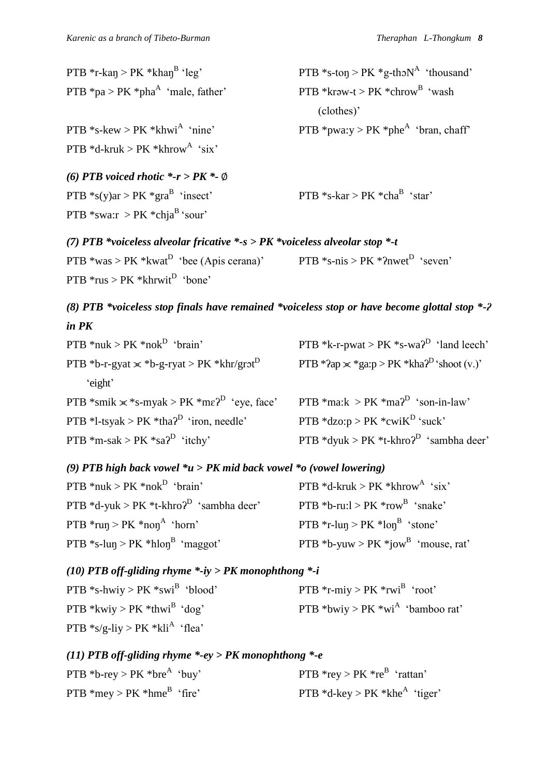| PTB *r-kan > PK *khan <sup>B</sup> 'leg'     | PTB $*s$ -ton > PK $*g$ -thon <sup>A</sup> 'thousand' |
|----------------------------------------------|-------------------------------------------------------|
| PTB $*pa > PK *phaA 'male, father'$          | PTB *kraw-t > $PK *$ chrow <sup>B</sup> 'wash         |
|                                              | (clothes)'                                            |
| PTB *s-kew > $PK$ *khwi <sup>A</sup> 'nine'  | PTB *pwa:y > PK *phe^{A} * bran, chaff                |
| PTB *d-kruk > PK *khrow <sup>A</sup> 'six'   |                                                       |
| (6) PTB voiced rhotic $*-r > PK - \emptyset$ |                                                       |
| PTB *s(y)ar > PK *gra <sup>B</sup> 'insect'  | PTB $*_{S}$ -kar > PK $*_{cha}$ <sup>B</sup> 'star'   |
| PTB *swa: $r > PK$ *chja <sup>B</sup> 'sour' |                                                       |
|                                              |                                                       |

*(7) PTB \*voiceless alveolar fricative \*-s > PK \*voiceless alveolar stop \*-t*  PTB  $*$ was > PK  $*$ kwat<sup>D</sup> 'bee (Apis cerana)' PTB  $*$ s-nis > PK  $*$ ?nwet<sup>D</sup> 'seven'  $PTB *rus > PK *khrwit<sup>D</sup> 'bone'$ 

# *(8) PTB \*voiceless stop finals have remained \*voiceless stop or have become glottal stop \*-ʔ in PK*

| PTB *nuk > PK *nok <sup>D</sup> 'brain'                                | PTB *k-r-pwat > PK *s-wa $2^D$ 'land leech'               |
|------------------------------------------------------------------------|-----------------------------------------------------------|
| PTB *b-r-gyat $\times$ *b-g-ryat > PK *khr/grot <sup>D</sup>           | PTB *?ap $\ge$ *ga:p > PK *kha? <sup>D</sup> 'shoot (v.)' |
| 'eight'                                                                |                                                           |
| PTB *smik $\ge$ *s-myak > PK *m $\varepsilon$ <sup>2</sup> 'eye, face' | PTB *ma: $k > PK$ *ma? <sup>D</sup> 'son-in-law'          |
|                                                                        |                                                           |
| PTB *1-tsyak > PK *tha? <sup>D</sup> 'iron, needle'                    | PTB $*$ dzo:p > PK $*$ cwiK <sup>D</sup> 'suck'           |

## *(9) PTB high back vowel \*u* **>** *PK mid back vowel \*o (vowel lowering)*

| PTB *nuk > PK *nok <sup>D</sup> 'brain'             | PTB $*d$ -kruk > PK $*$ khrow <sup>A</sup> 'six' |
|-----------------------------------------------------|--------------------------------------------------|
| PTB *d-yuk > PK *t-khro? <sup>D</sup> 'sambha deer' | PTB *b-ru: $l > PK$ *row <sup>B</sup> 'snake'    |
| PTB $*run > PK *nonA 'horn'$                        | PTB *r-lun > PK *lon <sup>B</sup> 'stone'        |
| PTB *s-lun > PK *hlon <sup>B</sup> 'maggot'         | PTB *b-yuw > PK *jow <sup>B</sup> 'mouse, rat'   |

*(10) PTB off-gliding rhyme \*-iy > PK monophthong \*-i*

| PTB *s-hwiy > PK *swi <sup>B</sup> 'blood' | PTB $*$ r-miy > PK $*$ rwi <sup>B</sup> 'root' |
|--------------------------------------------|------------------------------------------------|
| PTB *kwiy > PK *thwi <sup>B</sup> 'dog'    | PTB *bwiy > PK *wi <sup>A</sup> 'bamboo rat'   |
| PTB $*_{S/g}$ -liy > PK $*_{Kli}^A$ 'flea' |                                                |

# *(11) PTB off-gliding rhyme \*-ey > PK monophthong \*-e*

| PTB *b-rey > PK *bre <sup>A</sup> 'buy'      | PTB $*$ rey > PK $*$ re <sup>B</sup> 'rattan' |
|----------------------------------------------|-----------------------------------------------|
| PTB $*$ mey > PK $*$ hme <sup>B</sup> 'fire' | PTB $*d$ -key > PK $*khe^{A}$ 'tiger'         |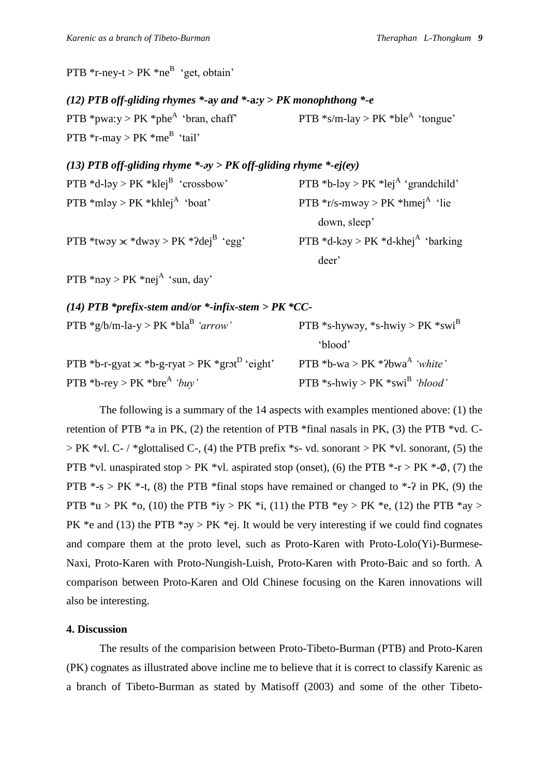PTB  $*_{r\text{-ney-t}} > PK *_{n\text{e}}^{B}$  'get, obtain'

## *(12) PTB off-gliding rhymes \*-***a***y and \*-***a***:y > PK monophthong \*-e*

PTB \*pwa: $v > PK$  \*phe<sup>A</sup> 'bran, chaff' PTB \*s/m-lay > PK \*ble<sup>A</sup> 'tongue' PTB  $*$ r-may > PK  $*$ me<sup>B</sup> 'tail'

## *(13) PTB off-gliding rhyme \*-əy > PK off-gliding rhyme \*-ej(ey)*

| PTB *d-ləy > PK *klej <sup>B</sup> 'crossbow'          | PTB *b-ləy > PK *lej <sup>A</sup> 'grandchild'   |
|--------------------------------------------------------|--------------------------------------------------|
| PTB $*mlay > PK *khlejA 'boat'$                        | PTB $*$ r/s-mwəy > PK $*$ hmej <sup>A</sup> 'lie |
|                                                        | down, sleep'                                     |
| PTB *tway $\times$ *dway > PK *?dej <sup>B</sup> 'egg' | PTB *d-kəy > PK *d-khej <sup>A</sup> 'barking    |
|                                                        | deer'                                            |
| PTB *nəy > PK *nej <sup>A</sup> 'sun, day'             |                                                  |

*(14) PTB \*prefix-stem and/or \*-infix-stem > PK \*CC-*

| PTB *g/b/m-la-y > PK *bla <sup>B</sup> 'arrow'                   | PTB *s-hyway, *s-hwiy > PK *swi <sup>B</sup> |
|------------------------------------------------------------------|----------------------------------------------|
|                                                                  | `blood'                                      |
| PTB *b-r-gyat $\times$ *b-g-ryat > PK *grot <sup>D</sup> 'eight' | PTB *b-wa > PK *?bwa <sup>A</sup> 'white'    |
| PTB *b-rey > PK *bre <sup>A</sup> 'buy'                          | PTB *s-hwiy > PK *swi <sup>B</sup> 'blood'   |

The following is a summary of the 14 aspects with examples mentioned above: (1) the retention of PTB  $*a$  in PK, (2) the retention of PTB  $*$ final nasals in PK, (3) the PTB  $*vd$ . C- $>$  PK \*vl. C- / \*glottalised C-, (4) the PTB prefix \*s- vd. sonorant  $>$  PK \*vl. sonorant, (5) the PTB \*vl. unaspirated stop > PK \*vl. aspirated stop (onset), (6) the PTB  $*$ -r > PK  $*$ - $\varphi$ , (7) the PTB  $*$ -s > PK  $*$ -t, (8) the PTB  $*$ final stops have remained or changed to  $*$ -? in PK, (9) the PTB  $*u > PK *o$ , (10) the PTB  $*iv > PK *i$ , (11) the PTB  $*ev > PK *e$ , (12) the PTB  $*av >$ PK \*e and (13) the PTB \* $\gamma y > P K$  \*ej. It would be very interesting if we could find cognates and compare them at the proto level, such as Proto-Karen with Proto-Lolo(Yi)-Burmese-Naxi, Proto-Karen with Proto-Nungish-Luish, Proto-Karen with Proto-Baic and so forth. A comparison between Proto-Karen and Old Chinese focusing on the Karen innovations will also be interesting.

## **4. Discussion**

The results of the comparision between Proto-Tibeto-Burman (PTB) and Proto-Karen (PK) cognates as illustrated above incline me to believe that it is correct to classify Karenic as a branch of Tibeto-Burman as stated by Matisoff (2003) and some of the other Tibeto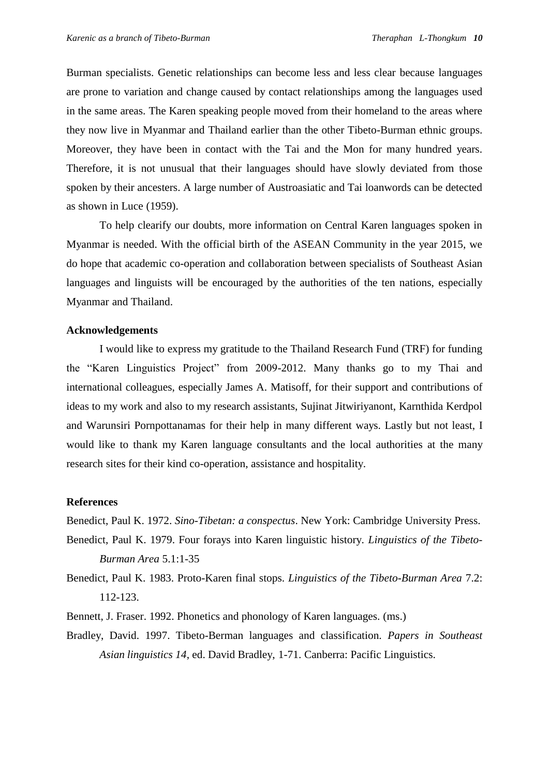Burman specialists. Genetic relationships can become less and less clear because languages are prone to variation and change caused by contact relationships among the languages used in the same areas. The Karen speaking people moved from their homeland to the areas where they now live in Myanmar and Thailand earlier than the other Tibeto-Burman ethnic groups. Moreover, they have been in contact with the Tai and the Mon for many hundred years. Therefore, it is not unusual that their languages should have slowly deviated from those spoken by their ancesters. A large number of Austroasiatic and Tai loanwords can be detected as shown in Luce (1959).

To help clearify our doubts, more information on Central Karen languages spoken in Myanmar is needed. With the official birth of the ASEAN Community in the year 2015, we do hope that academic co-operation and collaboration between specialists of Southeast Asian languages and linguists will be encouraged by the authorities of the ten nations, especially Myanmar and Thailand.

## **Acknowledgements**

I would like to express my gratitude to the Thailand Research Fund (TRF) for funding the "Karen Linguistics Project" from 2009-2012. Many thanks go to my Thai and international colleagues, especially James A. Matisoff, for their support and contributions of ideas to my work and also to my research assistants, Sujinat Jitwiriyanont, Karnthida Kerdpol and Warunsiri Pornpottanamas for their help in many different ways. Lastly but not least, I would like to thank my Karen language consultants and the local authorities at the many research sites for their kind co-operation, assistance and hospitality.

## **References**

Benedict, Paul K. 1972. *Sino-Tibetan: a conspectus*. New York: Cambridge University Press.

- Benedict, Paul K. 1979. Four forays into Karen linguistic history. *Linguistics of the Tibeto-Burman Area* 5.1:1-35
- Benedict, Paul K. 1983. Proto-Karen final stops. *Linguistics of the Tibeto-Burman Area* 7.2: 112-123.
- Bennett, J. Fraser. 1992. Phonetics and phonology of Karen languages. (ms.)
- Bradley, David. 1997. Tibeto-Berman languages and classification. *Papers in Southeast Asian linguistics 14*, ed. David Bradley, 1-71. Canberra: Pacific Linguistics.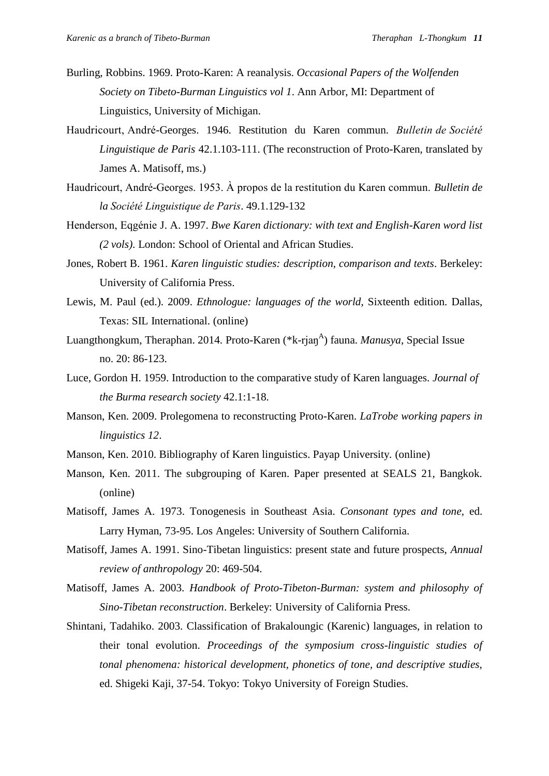- Burling, Robbins. 1969. Proto-Karen: A reanalysis. *Occasional Papers of the Wolfenden Society on Tibeto-Burman Linguistics vol 1*. Ann Arbor, MI: Department of Linguistics, University of Michigan.
- Haudricourt, André-Georges. 1946. Restitution du Karen commun. *Bulletin de Société Linguistique de Paris* 42.1.103-111. (The reconstruction of Proto-Karen, translated by James A. Matisoff, ms.)
- Haudricourt, André-Georges. 1953. À propos de la restitution du Karen commun. *Bulletin de la Société Linguistique de Paris.* 49.1.129-132
- Henderson, Eqgénie J. A. 1997. *Bwe Karen dictionary: with text and English-Karen word list (2 vols)*. London: School of Oriental and African Studies.
- Jones, Robert B. 1961. *Karen linguistic studies: description, comparison and texts*. Berkeley: University of California Press.
- Lewis, M. Paul (ed.). 2009. *Ethnologue: languages of the world*, Sixteenth edition. Dallas, Texas: SIL International. (online)
- Luangthongkum, Theraphan. 2014. Proto-Karen (\*k-rjan<sup>A</sup>) fauna. *Manusya*, Special Issue no. 20: 86-123.
- Luce, Gordon H. 1959. Introduction to the comparative study of Karen languages. *Journal of the Burma research society* 42.1:1-18.
- Manson, Ken. 2009. Prolegomena to reconstructing Proto-Karen. *LaTrobe working papers in linguistics 12*.
- Manson, Ken. 2010. Bibliography of Karen linguistics. Payap University. (online)
- Manson, Ken. 2011. The subgrouping of Karen. Paper presented at SEALS 21, Bangkok. (online)
- Matisoff, James A. 1973. Tonogenesis in Southeast Asia. *Consonant types and tone,* ed. Larry Hyman, 73-95. Los Angeles: University of Southern California.
- Matisoff, James A. 1991. Sino-Tibetan linguistics: present state and future prospects, *Annual review of anthropology* 20: 469-504.
- Matisoff, James A. 2003. *Handbook of Proto-Tibeton-Burman: system and philosophy of Sino-Tibetan reconstruction*. Berkeley: University of California Press.
- Shintani, Tadahiko. 2003. Classification of Brakaloungic (Karenic) languages, in relation to their tonal evolution. *Proceedings of the symposium cross-linguistic studies of tonal phenomena: historical development, phonetics of tone, and descriptive studies,* ed. Shigeki Kaji, 37-54. Tokyo: Tokyo University of Foreign Studies.